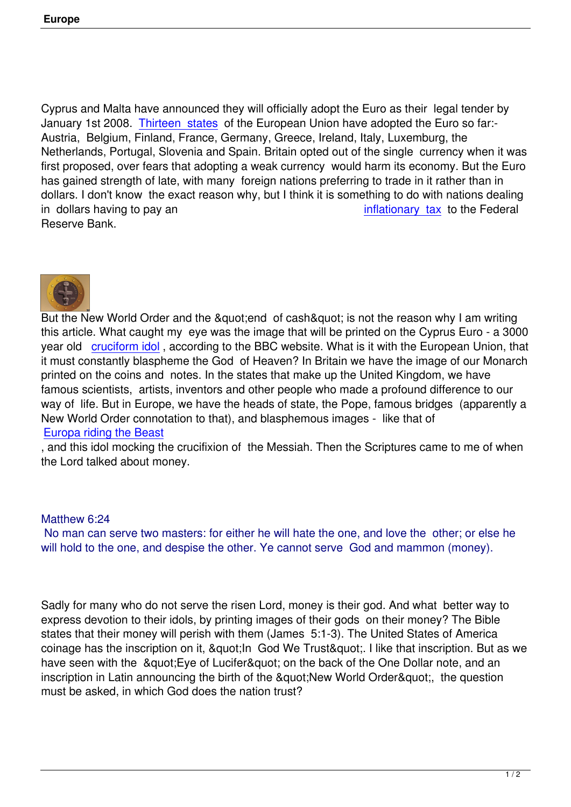Cyprus and Malta have announced they will officially adopt the Euro as their legal tender by January 1st 2008. Thirteen states of the European Union have adopted the Euro so far:-Austria, Belgium, Finland, France, Germany, Greece, Ireland, Italy, Luxemburg, the Netherlands, Portugal, Slovenia and Spain. Britain opted out of the single currency when it was first proposed, ove[r fears that adop](http://en.wikipedia.org/wiki/Eurozone)ting a weak currency would harm its economy. But the Euro has gained strength of late, with many foreign nations preferring to trade in it rather than in dollars. I don't know the exact reason why, but I think it is something to do with nations dealing in dollars having to pay an inflationary tax to the Federal Reserve Bank.



But the New World Order and the "end of cash" is not the reason why I am writing this article. What caught my eye was the image that will be printed on the Cyprus Euro - a 3000 year old cruciform idol, according to the BBC website. What is it with the European Union, that it must constantly blaspheme the God of Heaven? In Britain we have the image of our Monarch printed on the coins and notes. In the states that make up the United Kingdom, we have famous s[cientists, artis](http://news.bbc.co.uk/1/hi/business/6288084.stm)ts, inventors and other people who made a profound difference to our way of life. But in Europe, we have the heads of state, the Pope, famous bridges (apparently a New World Order connotation to that), and blasphemous images - like that of Europa riding the Beast

, and this idol mocking the crucifixion of the Messiah. Then the Scriptures came to me of when the Lord talked about money.

## Matthew 6:24

 No man can serve two masters: for either he will hate the one, and love the other; or else he will hold to the one, and despise the other. Ye cannot serve God and mammon (money).

Sadly for many who do not serve the risen Lord, money is their god. And what better way to express devotion to their idols, by printing images of their gods on their money? The Bible states that their money will perish with them (James 5:1-3). The United States of America coinage has the inscription on it, " In God We Trust ". I like that inscription. But as we have seen with the " Eye of Lucifer" on the back of the One Dollar note, and an inscription in Latin announcing the birth of the " New World Order & quot; the question must be asked, in which God does the nation trust?